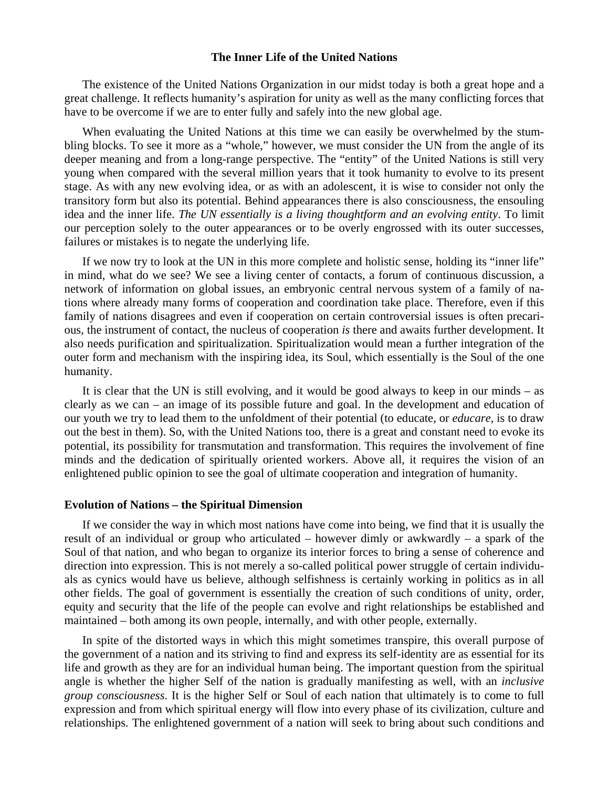## **The Inner Life of the United Nations**

 The existence of the United Nations Organization in our midst today is both a great hope and a great challenge. It reflects humanity's aspiration for unity as well as the many conflicting forces that have to be overcome if we are to enter fully and safely into the new global age.

 When evaluating the United Nations at this time we can easily be overwhelmed by the stumbling blocks. To see it more as a "whole," however, we must consider the UN from the angle of its deeper meaning and from a long-range perspective. The "entity" of the United Nations is still very young when compared with the several million years that it took humanity to evolve to its present stage. As with any new evolving idea, or as with an adolescent, it is wise to consider not only the transitory form but also its potential. Behind appearances there is also consciousness, the ensouling idea and the inner life. *The UN essentially is a living thoughtform and an evolving entity*. To limit our perception solely to the outer appearances or to be overly engrossed with its outer successes, failures or mistakes is to negate the underlying life.

 If we now try to look at the UN in this more complete and holistic sense, holding its "inner life" in mind, what do we see? We see a living center of contacts, a forum of continuous discussion, a network of information on global issues, an embryonic central nervous system of a family of nations where already many forms of cooperation and coordination take place. Therefore, even if this family of nations disagrees and even if cooperation on certain controversial issues is often precarious, the instrument of contact, the nucleus of cooperation *is* there and awaits further development. It also needs purification and spiritualization. Spiritualization would mean a further integration of the outer form and mechanism with the inspiring idea, its Soul, which essentially is the Soul of the one humanity.

 It is clear that the UN is still evolving, and it would be good always to keep in our minds – as clearly as we can – an image of its possible future and goal. In the development and education of our youth we try to lead them to the unfoldment of their potential (to educate, or *educare*, is to draw out the best in them). So, with the United Nations too, there is a great and constant need to evoke its potential, its possibility for transmutation and transformation. This requires the involvement of fine minds and the dedication of spiritually oriented workers. Above all, it requires the vision of an enlightened public opinion to see the goal of ultimate cooperation and integration of humanity.

### **Evolution of Nations – the Spiritual Dimension**

 If we consider the way in which most nations have come into being, we find that it is usually the result of an individual or group who articulated – however dimly or awkwardly – a spark of the Soul of that nation, and who began to organize its interior forces to bring a sense of coherence and direction into expression. This is not merely a so-called political power struggle of certain individuals as cynics would have us believe, although selfishness is certainly working in politics as in all other fields. The goal of government is essentially the creation of such conditions of unity, order, equity and security that the life of the people can evolve and right relationships be established and maintained – both among its own people, internally, and with other people, externally.

 In spite of the distorted ways in which this might sometimes transpire, this overall purpose of the government of a nation and its striving to find and express its self-identity are as essential for its life and growth as they are for an individual human being. The important question from the spiritual angle is whether the higher Self of the nation is gradually manifesting as well, with an *inclusive group consciousness*. It is the higher Self or Soul of each nation that ultimately is to come to full expression and from which spiritual energy will flow into every phase of its civilization, culture and relationships. The enlightened government of a nation will seek to bring about such conditions and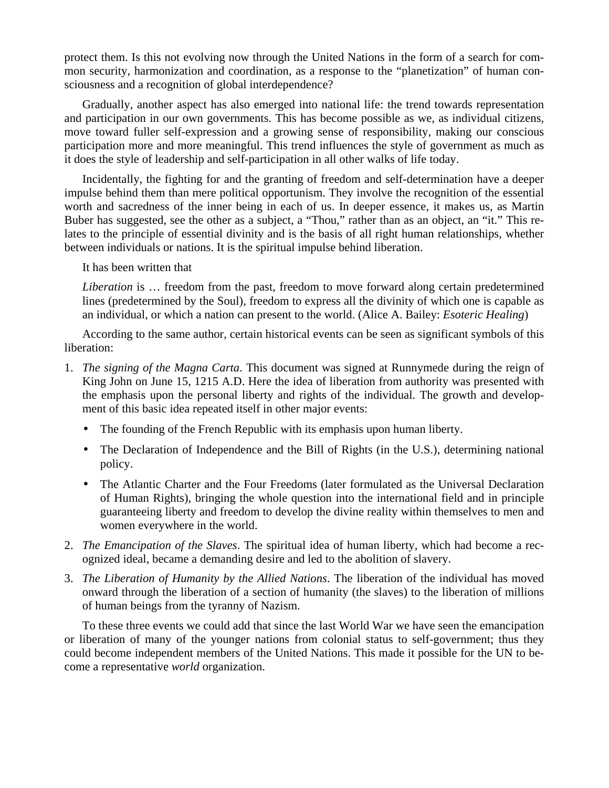protect them. Is this not evolving now through the United Nations in the form of a search for common security, harmonization and coordination, as a response to the "planetization" of human consciousness and a recognition of global interdependence?

 Gradually, another aspect has also emerged into national life: the trend towards representation and participation in our own governments. This has become possible as we, as individual citizens, move toward fuller self-expression and a growing sense of responsibility, making our conscious participation more and more meaningful. This trend influences the style of government as much as it does the style of leadership and self-participation in all other walks of life today.

 Incidentally, the fighting for and the granting of freedom and self-determination have a deeper impulse behind them than mere political opportunism. They involve the recognition of the essential worth and sacredness of the inner being in each of us. In deeper essence, it makes us, as Martin Buber has suggested, see the other as a subject, a "Thou," rather than as an object, an "it." This relates to the principle of essential divinity and is the basis of all right human relationships, whether between individuals or nations. It is the spiritual impulse behind liberation.

It has been written that

*Liberation* is … freedom from the past, freedom to move forward along certain predetermined lines (predetermined by the Soul), freedom to express all the divinity of which one is capable as an individual, or which a nation can present to the world. (Alice A. Bailey: *Esoteric Healing*)

 According to the same author, certain historical events can be seen as significant symbols of this liberation:

- 1. *The signing of the Magna Carta*. This document was signed at Runnymede during the reign of King John on June 15, 1215 A.D. Here the idea of liberation from authority was presented with the emphasis upon the personal liberty and rights of the individual. The growth and development of this basic idea repeated itself in other major events:
	- The founding of the French Republic with its emphasis upon human liberty.
	- The Declaration of Independence and the Bill of Rights (in the U.S.), determining national policy.
	- The Atlantic Charter and the Four Freedoms (later formulated as the Universal Declaration of Human Rights), bringing the whole question into the international field and in principle guaranteeing liberty and freedom to develop the divine reality within themselves to men and women everywhere in the world.
- 2. *The Emancipation of the Slaves*. The spiritual idea of human liberty, which had become a recognized ideal, became a demanding desire and led to the abolition of slavery.
- 3. *The Liberation of Humanity by the Allied Nations*. The liberation of the individual has moved onward through the liberation of a section of humanity (the slaves) to the liberation of millions of human beings from the tyranny of Nazism.

 To these three events we could add that since the last World War we have seen the emancipation or liberation of many of the younger nations from colonial status to self-government; thus they could become independent members of the United Nations. This made it possible for the UN to become a representative *world* organization.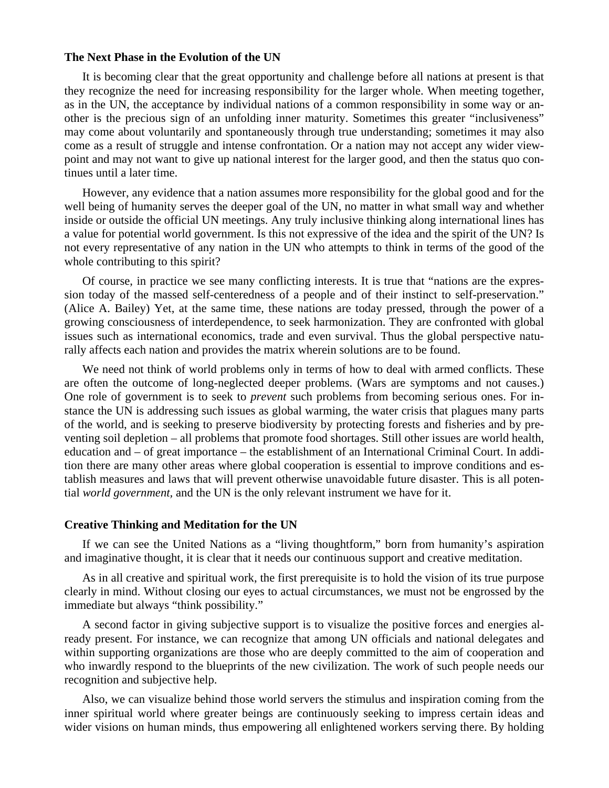#### **The Next Phase in the Evolution of the UN**

 It is becoming clear that the great opportunity and challenge before all nations at present is that they recognize the need for increasing responsibility for the larger whole. When meeting together, as in the UN, the acceptance by individual nations of a common responsibility in some way or another is the precious sign of an unfolding inner maturity. Sometimes this greater "inclusiveness" may come about voluntarily and spontaneously through true understanding; sometimes it may also come as a result of struggle and intense confrontation. Or a nation may not accept any wider viewpoint and may not want to give up national interest for the larger good, and then the status quo continues until a later time.

 However, any evidence that a nation assumes more responsibility for the global good and for the well being of humanity serves the deeper goal of the UN, no matter in what small way and whether inside or outside the official UN meetings. Any truly inclusive thinking along international lines has a value for potential world government. Is this not expressive of the idea and the spirit of the UN? Is not every representative of any nation in the UN who attempts to think in terms of the good of the whole contributing to this spirit?

 Of course, in practice we see many conflicting interests. It is true that "nations are the expression today of the massed self-centeredness of a people and of their instinct to self-preservation." (Alice A. Bailey) Yet, at the same time, these nations are today pressed, through the power of a growing consciousness of interdependence, to seek harmonization. They are confronted with global issues such as international economics, trade and even survival. Thus the global perspective naturally affects each nation and provides the matrix wherein solutions are to be found.

We need not think of world problems only in terms of how to deal with armed conflicts. These are often the outcome of long-neglected deeper problems. (Wars are symptoms and not causes.) One role of government is to seek to *prevent* such problems from becoming serious ones. For instance the UN is addressing such issues as global warming, the water crisis that plagues many parts of the world, and is seeking to preserve biodiversity by protecting forests and fisheries and by preventing soil depletion – all problems that promote food shortages. Still other issues are world health, education and – of great importance – the establishment of an International Criminal Court. In addition there are many other areas where global cooperation is essential to improve conditions and establish measures and laws that will prevent otherwise unavoidable future disaster. This is all potential *world government,* and the UN is the only relevant instrument we have for it.

## **Creative Thinking and Meditation for the UN**

 If we can see the United Nations as a "living thoughtform," born from humanity's aspiration and imaginative thought, it is clear that it needs our continuous support and creative meditation.

 As in all creative and spiritual work, the first prerequisite is to hold the vision of its true purpose clearly in mind. Without closing our eyes to actual circumstances, we must not be engrossed by the immediate but always "think possibility."

 A second factor in giving subjective support is to visualize the positive forces and energies already present. For instance, we can recognize that among UN officials and national delegates and within supporting organizations are those who are deeply committed to the aim of cooperation and who inwardly respond to the blueprints of the new civilization. The work of such people needs our recognition and subjective help.

 Also, we can visualize behind those world servers the stimulus and inspiration coming from the inner spiritual world where greater beings are continuously seeking to impress certain ideas and wider visions on human minds, thus empowering all enlightened workers serving there. By holding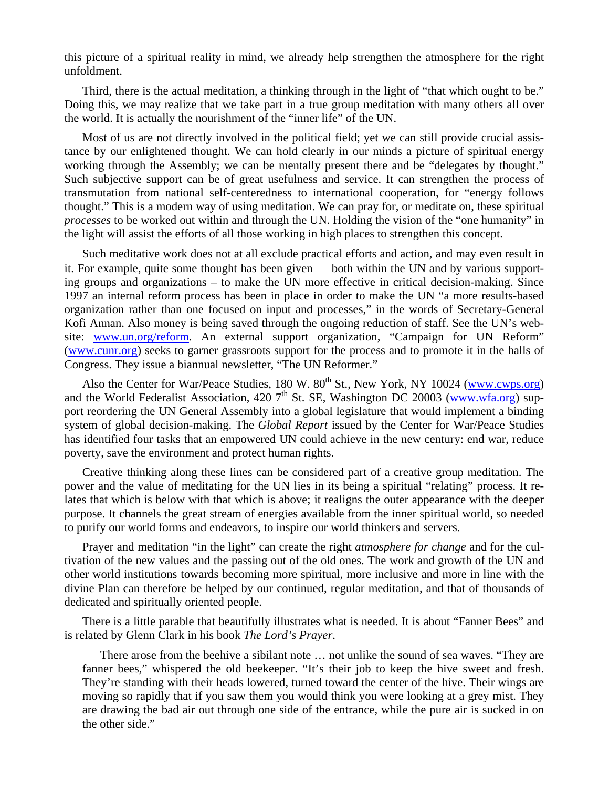this picture of a spiritual reality in mind, we already help strengthen the atmosphere for the right unfoldment.

 Third, there is the actual meditation, a thinking through in the light of "that which ought to be." Doing this, we may realize that we take part in a true group meditation with many others all over the world. It is actually the nourishment of the "inner life" of the UN.

 Most of us are not directly involved in the political field; yet we can still provide crucial assistance by our enlightened thought. We can hold clearly in our minds a picture of spiritual energy working through the Assembly; we can be mentally present there and be "delegates by thought." Such subjective support can be of great usefulness and service. It can strengthen the process of transmutation from national self-centeredness to international cooperation, for "energy follows thought." This is a modern way of using meditation. We can pray for, or meditate on, these spiritual *processes* to be worked out within and through the UN. Holding the vision of the "one humanity" in the light will assist the efforts of all those working in high places to strengthen this concept.

 Such meditative work does not at all exclude practical efforts and action, and may even result in it. For example, quite some thought has been given — both within the UN and by various supporting groups and organizations – to make the UN more effective in critical decision-making. Since 1997 an internal reform process has been in place in order to make the UN "a more results-based organization rather than one focused on input and processes," in the words of Secretary-General Kofi Annan. Also money is being saved through the ongoing reduction of staff. See the UN's website: www.un.org/reform. An external support organization, "Campaign for UN Reform" (www.cunr.org) seeks to garner grassroots support for the process and to promote it in the halls of Congress. They issue a biannual newsletter, "The UN Reformer."

Also the Center for War/Peace Studies, 180 W. 80<sup>th</sup> St., New York, NY 10024 (www.cwps.org) and the World Federalist Association, 420  $7<sup>th</sup>$  St. SE, Washington DC 20003 (www.wfa.org) support reordering the UN General Assembly into a global legislature that would implement a binding system of global decision-making. The *Global Report* issued by the Center for War/Peace Studies has identified four tasks that an empowered UN could achieve in the new century: end war, reduce poverty, save the environment and protect human rights.

 Creative thinking along these lines can be considered part of a creative group meditation. The power and the value of meditating for the UN lies in its being a spiritual "relating" process. It relates that which is below with that which is above; it realigns the outer appearance with the deeper purpose. It channels the great stream of energies available from the inner spiritual world, so needed to purify our world forms and endeavors, to inspire our world thinkers and servers.

 Prayer and meditation "in the light" can create the right *atmosphere for change* and for the cultivation of the new values and the passing out of the old ones. The work and growth of the UN and other world institutions towards becoming more spiritual, more inclusive and more in line with the divine Plan can therefore be helped by our continued, regular meditation, and that of thousands of dedicated and spiritually oriented people.

 There is a little parable that beautifully illustrates what is needed. It is about "Fanner Bees" and is related by Glenn Clark in his book *The Lord's Prayer*.

 There arose from the beehive a sibilant note … not unlike the sound of sea waves. "They are fanner bees," whispered the old beekeeper. "It's their job to keep the hive sweet and fresh. They're standing with their heads lowered, turned toward the center of the hive. Their wings are moving so rapidly that if you saw them you would think you were looking at a grey mist. They are drawing the bad air out through one side of the entrance, while the pure air is sucked in on the other side."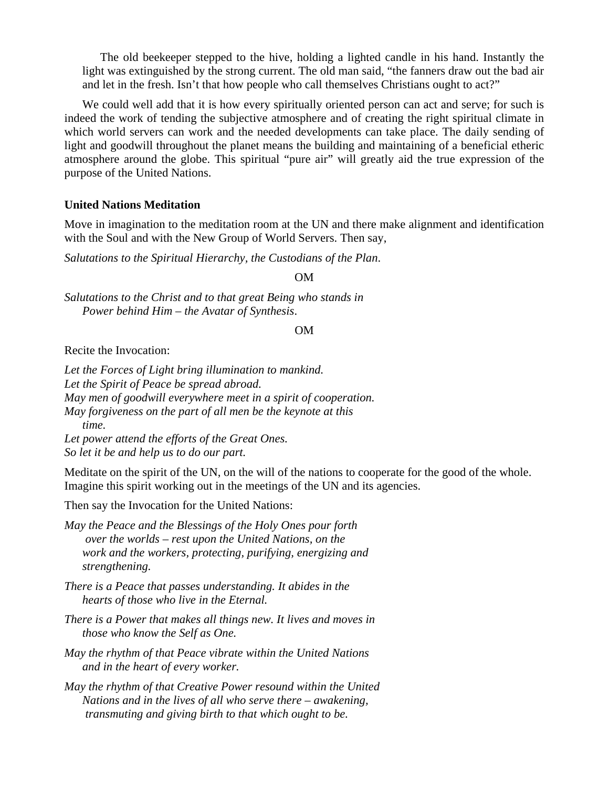The old beekeeper stepped to the hive, holding a lighted candle in his hand. Instantly the light was extinguished by the strong current. The old man said, "the fanners draw out the bad air and let in the fresh. Isn't that how people who call themselves Christians ought to act?"

We could well add that it is how every spiritually oriented person can act and serve; for such is indeed the work of tending the subjective atmosphere and of creating the right spiritual climate in which world servers can work and the needed developments can take place. The daily sending of light and goodwill throughout the planet means the building and maintaining of a beneficial etheric atmosphere around the globe. This spiritual "pure air" will greatly aid the true expression of the purpose of the United Nations.

# **United Nations Meditation**

Move in imagination to the meditation room at the UN and there make alignment and identification with the Soul and with the New Group of World Servers. Then say,

*Salutations to the Spiritual Hierarchy, the Custodians of the Plan*.

OM

*Salutations to the Christ and to that great Being who stands in Power behind Him – the Avatar of Synthesis*.

OM

Recite the Invocation:

*Let the Forces of Light bring illumination to mankind. Let the Spirit of Peace be spread abroad. May men of goodwill everywhere meet in a spirit of cooperation. May forgiveness on the part of all men be the keynote at this time. Let power attend the efforts of the Great Ones.* 

*So let it be and help us to do our part.*

Meditate on the spirit of the UN, on the will of the nations to cooperate for the good of the whole. Imagine this spirit working out in the meetings of the UN and its agencies.

Then say the Invocation for the United Nations:

*May the Peace and the Blessings of the Holy Ones pour forth over the worlds – rest upon the United Nations, on the work and the workers, protecting, purifying, energizing and strengthening.* 

*There is a Peace that passes understanding. It abides in the hearts of those who live in the Eternal.* 

- *There is a Power that makes all things new. It lives and moves in those who know the Self as One.*
- *May the rhythm of that Peace vibrate within the United Nations and in the heart of every worker.*
- *May the rhythm of that Creative Power resound within the United Nations and in the lives of all who serve there – awakening, transmuting and giving birth to that which ought to be.*